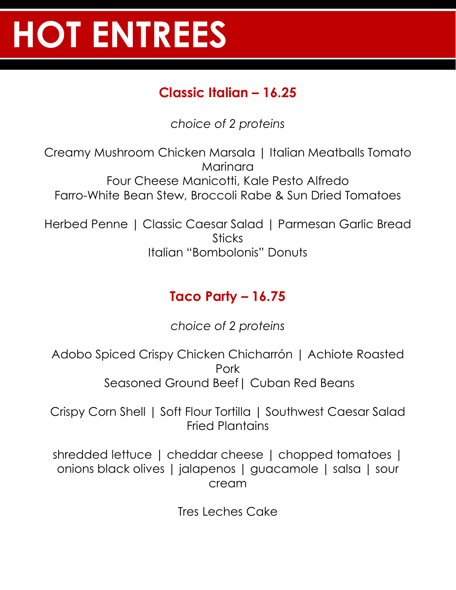# **HOT ENTREES**

### **Classic Italian – 16.25**

*choice of 2 proteins*

Creamy Mushroom Chicken Marsala | Italian Meatballs Tomato Marinara Four Cheese Manicotti, Kale Pesto Alfredo Farro-White Bean Stew, Broccoli Rabe & Sun Dried Tomatoes

Herbed Penne | Classic Caesar Salad | Parmesan Garlic Bread **Sticks** Italian "Bombolonis" Donuts

## **Taco Party – 16.75**

*choice of 2 proteins*

Adobo Spiced Crispy Chicken Chicharrón | Achiote Roasted Pork Seasoned Ground Beef| Cuban Red Beans

Crispy Corn Shell | Soft Flour Tortilla | Southwest Caesar Salad Fried Plantains

shredded lettuce | cheddar cheese | chopped tomatoes | onions black olives | jalapenos | guacamole | salsa | sour cream

Tres Leches Cake